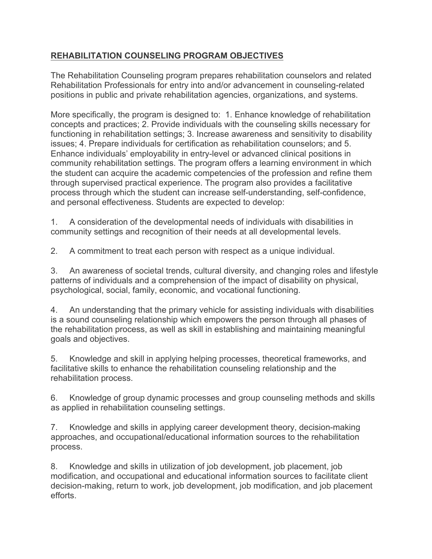## **REHABILITATION COUNSELING PROGRAM OBJECTIVES**

The Rehabilitation Counseling program prepares rehabilitation counselors and related Rehabilitation Professionals for entry into and/or advancement in counseling-related positions in public and private rehabilitation agencies, organizations, and systems.

More specifically, the program is designed to: 1. Enhance knowledge of rehabilitation concepts and practices; 2. Provide individuals with the counseling skills necessary for functioning in rehabilitation settings; 3. Increase awareness and sensitivity to disability issues; 4. Prepare individuals for certification as rehabilitation counselors; and 5. Enhance individuals' employability in entry-level or advanced clinical positions in community rehabilitation settings. The program offers a learning environment in which the student can acquire the academic competencies of the profession and refine them through supervised practical experience. The program also provides a facilitative process through which the student can increase self-understanding, self-confidence, and personal effectiveness. Students are expected to develop:

1. A consideration of the developmental needs of individuals with disabilities in community settings and recognition of their needs at all developmental levels.

2. A commitment to treat each person with respect as a unique individual.

3. An awareness of societal trends, cultural diversity, and changing roles and lifestyle patterns of individuals and a comprehension of the impact of disability on physical, psychological, social, family, economic, and vocational functioning.

4. An understanding that the primary vehicle for assisting individuals with disabilities is a sound counseling relationship which empowers the person through all phases of the rehabilitation process, as well as skill in establishing and maintaining meaningful goals and objectives.

5. Knowledge and skill in applying helping processes, theoretical frameworks, and facilitative skills to enhance the rehabilitation counseling relationship and the rehabilitation process.

6. Knowledge of group dynamic processes and group counseling methods and skills as applied in rehabilitation counseling settings.

7. Knowledge and skills in applying career development theory, decision-making approaches, and occupational/educational information sources to the rehabilitation process.

8. Knowledge and skills in utilization of job development, job placement, job modification, and occupational and educational information sources to facilitate client decision-making, return to work, job development, job modification, and job placement efforts.